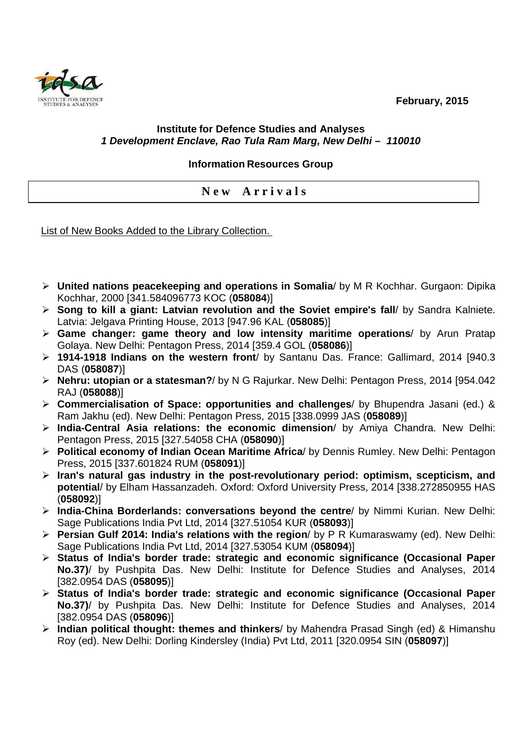**February, 2015** 



## **Institute for Defence Studies and Analyses 1 Development Enclave, Rao Tula Ram Marg, New Delhi – 110010**

## **Information Resources Group**

**N e w A r r i v a l s** 

List of New Books Added to the Library Collection.

- **United nations peacekeeping and operations in Somalia**/ by M R Kochhar. Gurgaon: Dipika Kochhar, 2000 [341.584096773 KOC (**058084**)]
- **Song to kill a giant: Latvian revolution and the Soviet empire's fall**/ by Sandra Kalniete. Latvia: Jelgava Printing House, 2013 [947.96 KAL (**058085**)]
- **Game changer: game theory and low intensity maritime operations**/ by Arun Pratap Golaya. New Delhi: Pentagon Press, 2014 [359.4 GOL (**058086**)]
- **1914-1918 Indians on the western front**/ by Santanu Das. France: Gallimard, 2014 [940.3 DAS (**058087**)]
- **Nehru: utopian or a statesman?**/ by N G Rajurkar. New Delhi: Pentagon Press, 2014 [954.042 RAJ (**058088**)]
- **Commercialisation of Space: opportunities and challenges**/ by Bhupendra Jasani (ed.) & Ram Jakhu (ed). New Delhi: Pentagon Press, 2015 [338.0999 JAS (**058089**)]
- **India-Central Asia relations: the economic dimension**/ by Amiya Chandra. New Delhi: Pentagon Press, 2015 [327.54058 CHA (**058090**)]
- **Political economy of Indian Ocean Maritime Africa**/ by Dennis Rumley. New Delhi: Pentagon Press, 2015 [337.601824 RUM (**058091**)]
- **Iran's natural gas industry in the post-revolutionary period: optimism, scepticism, and potential**/ by Elham Hassanzadeh. Oxford: Oxford University Press, 2014 [338.272850955 HAS (**058092**)]
- **India-China Borderlands: conversations beyond the centre**/ by Nimmi Kurian. New Delhi: Sage Publications India Pvt Ltd, 2014 [327.51054 KUR (**058093**)]
- **Persian Gulf 2014: India's relations with the region**/ by P R Kumaraswamy (ed). New Delhi: Sage Publications India Pvt Ltd, 2014 [327.53054 KUM (**058094**)]
- **Status of India's border trade: strategic and economic significance (Occasional Paper No.37)**/ by Pushpita Das. New Delhi: Institute for Defence Studies and Analyses, 2014 [382.0954 DAS (**058095**)]
- **Status of India's border trade: strategic and economic significance (Occasional Paper No.37)**/ by Pushpita Das. New Delhi: Institute for Defence Studies and Analyses, 2014 [382.0954 DAS (**058096**)]
- **Indian political thought: themes and thinkers**/ by Mahendra Prasad Singh (ed) & Himanshu Roy (ed). New Delhi: Dorling Kindersley (India) Pvt Ltd, 2011 [320.0954 SIN (**058097**)]